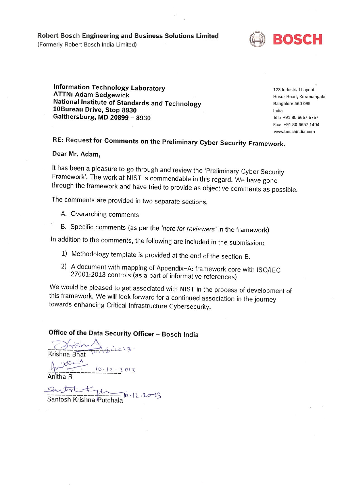Robert Bosch Engineering and Business Solutions Limited

(Formerly Robert Bosch India Limited)



**Information Technology Laboratory ATTN: Adam Sedgewick** National Institute of Standards and Technology 10Bureau Drive, Stop 8930 Gaithersburg, MD 20899 - 8930

123 Industrial Layout Hosur Road, Koramangala Bangalore 560 095 India Tel.: +91 80 6657 5757 Fax: +91 80 6657 1404 www.boschindia.com

# RE: Request for Comments on the Preliminary Cyber Security Framework.

#### Dear Mr. Adam,

It has been a pleasure to go through and review the 'Preliminary Cyber Security Framework'. The work at NIST is commendable in this regard. We have gone through the framework and have tried to provide as objective comments as possible.

The comments are provided in two separate sections.

- A. Overarching comments
- B. Specific comments (as per the 'note for reviewers' in the framework)

In addition to the comments, the following are included in the submission:

- 1) Methodology template is provided at the end of the section B.
- 2) A document with mapping of Appendix-A: framework core with ISO/IEC 27001:2013 controls (as a part of informative references)

We would be pleased to get associated with NIST in the process of development of this framework. We will look forward for a continued association in the journey towards enhancing Critical Infrastructure Cybersecurity.

### Office of the Data Security Officer - Bosch India

Krishna Bhat Turnisize 13. Anitha R  $10.12.2013$ 

Santosh Krishna Putchala<sup>10</sup>.12.20-13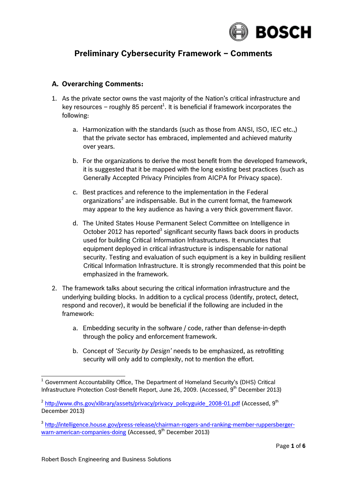

## **Preliminary Cybersecurity Framework – Comments**

#### **A. Overarching Comments:**

- 1. As the private sector owns the vast majority of the Nation's critical infrastructure and key resources – roughly 85 percent $^1$ . It is beneficial if framework incorporates the following:
	- a. Harmonization with the standards (such as those from ANSI, ISO, IEC etc.,) that the private sector has embraced, implemented and achieved maturity over years.
	- b. For the organizations to derive the most benefit from the developed framework, it is suggested that it be mapped with the long existing best practices (such as Generally Accepted Privacy Principles from AICPA for Privacy space).
	- c. Best practices and reference to the implementation in the Federal organizations<sup>2</sup> are indispensable. But in the current format, the framework may appear to the key audience as having a very thick government flavor.
	- d. The United States House Permanent Select Committee on Intelligence in October 2012 has reported<sup>3</sup> significant security flaws back doors in products used for building Critical Information Infrastructures. It enunciates that equipment deployed in critical infrastructure is indispensable for national security. Testing and evaluation of such equipment is a key in building resilient Critical Information Infrastructure. It is strongly recommended that this point be emphasized in the framework.
- 2. The framework talks about securing the critical information infrastructure and the underlying building blocks. In addition to a cyclical process (Identify, protect, detect, respond and recover), it would be beneficial if the following are included in the framework:
	- a. Embedding security in the software / code, rather than defense-in-depth through the policy and enforcement framework.
	- b. Concept of *'Security by Design'* needs to be emphasized, as retrofitting security will only add to complexity, not to mention the effort.

<sup>1</sup> Infrastructure Protection Cost-Benefit Report, June 26, 2009. (Accessed,  $9<sup>th</sup>$  December 2013)  $1$  Government Accountability Office, The Department of Homeland Security's (DHS) Critical

<sup>&</sup>lt;sup>2</sup> [http://www.dhs.gov/xlibrary/assets/privacy/privacy\\_policyguide\\_2008-01.pdf](http://www.dhs.gov/xlibrary/assets/privacy/privacy_policyguide_2008-01.pdf) (Accessed, 9<sup>th</sup> December 2013)

[warn-american-companies-doing](http://intelligence.house.gov/press-release/chairman-rogers-and-ranking-member-ruppersberger-warn-american-companies-doing) (Accessed, 9<sup>th</sup> December 2013) 3 [http://intelligence.house.gov/press-release/chairman-rogers-and-ranking-member-ruppersberger-](http://intelligence.house.gov/press-release/chairman-rogers-and-ranking-member-ruppersberger-warn-american-companies-doing)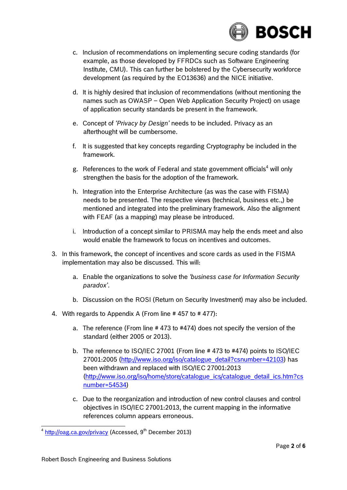

- c. Inclusion of recommendations on implementing secure coding standards (for example, as those developed by FFRDCs such as Software Engineering Institute, CMU). This can further be bolstered by the Cybersecurity workforce development (as required by the EO13636) and the NICE initiative.
- d. It is highly desired that inclusion of recommendations (without mentioning the names such as OWASP – Open Web Application Security Project) on usage of application security standards be present in the framework.
- e. Concept of *'Privacy by Design'* needs to be included. Privacy as an afterthought will be cumbersome.
- f. It is suggested that key concepts regarding Cryptography be included in the framework.
- g. References to the work of Federal and state government officials $^4$  will only strengthen the basis for the adoption of the framework.
- h. Integration into the Enterprise Architecture (as was the case with FISMA) needs to be presented. The respective views (technical, business etc.,) be mentioned and integrated into the preliminary framework. Also the alignment with FEAF (as a mapping) may please be introduced.
- i. Introduction of a concept similar to PRISMA may help the ends meet and also would enable the framework to focus on incentives and outcomes.
- 3. In this framework, the concept of incentives and score cards as used in the FISMA implementation may also be discussed. This will:
	- a. Enable the organizations to solve the *'business case for Information Security paradox'*.
	- b. Discussion on the ROSI (Return on Security Investment) may also be included.
- 4. With regards to Appendix A (From line  $# 457$  to  $# 477$ ):
	- a. The reference (From line # 473 to #474) does not specify the version of the standard (either 2005 or 2013).
	- b. The reference to ISO/IEC 27001 (From line # 473 to #474) points to ISO/IEC been withdrawn and replaced with ISO/IEC 27001:2013 27001:2005 [\(http://www.iso.org/iso/catalogue\\_detail?csnumber=42103\)](http://www.iso.org/iso/catalogue_detail?csnumber=42103) has [\(http://www.iso.org/iso/home/store/catalogue\\_ics/catalogue\\_detail\\_ics.htm?cs](http://www.iso.org/iso/home/store/catalogue_ics/catalogue_detail_ics.htm?csnumber=54534)  [number=54534\)](http://www.iso.org/iso/home/store/catalogue_ics/catalogue_detail_ics.htm?csnumber=54534)
	- c. Due to the reorganization and introduction of new control clauses and control objectives in ISO/IEC 27001:2013, the current mapping in the informative references column appears erroneous.

-

 $4$  <http://oag.ca.gov/privacy>(Accessed, 9<sup>th</sup> December 2013)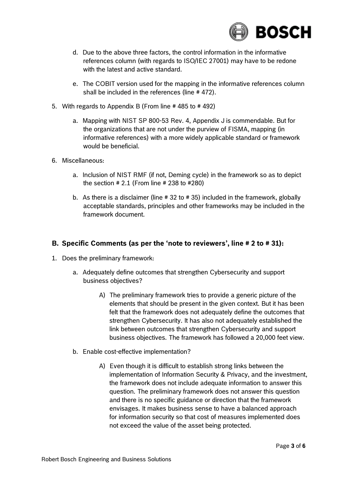

- d. Due to the above three factors, the control information in the informative references column (with regards to ISO/IEC 27001) may have to be redone with the latest and active standard.
- e. The COBIT version used for the mapping in the informative references column shall be included in the references (line # 472).
- 5. With regards to Appendix B (From line # 485 to # 492)
	- a. Mapping with NIST SP 800-53 Rev. 4, Appendix J is commendable. But for the organizations that are not under the purview of FISMA, mapping (in would be beneficial. informative references) with a more widely applicable standard or framework
- 6. Miscellaneous:
	- a. Inclusion of NIST RMF (if not, Deming cycle) in the framework so as to depict the section # 2.1 (From line # 238 to #280)
	- b. As there is a disclaimer (line # 32 to # 35) included in the framework, globally acceptable standards, principles and other frameworks may be included in the framework document.

#### **B. Specific Comments (as per the 'note to reviewers', line # 2 to # 31):**

- 1. Does the preliminary framework:
	- a. Adequately define outcomes that strengthen Cybersecurity and support business objectives?
		- A) The preliminary framework tries to provide a generic picture of the elements that should be present in the given context. But it has been felt that the framework does not adequately define the outcomes that strengthen Cybersecurity. It has also not adequately established the link between outcomes that strengthen Cybersecurity and support business objectives. The framework has followed a 20,000 feet view.
	- b. Enable cost-effective implementation?
		- A) Even though it is difficult to establish strong links between the implementation of Information Security & Privacy, and the investment, the framework does not include adequate information to answer this question. The preliminary framework does not answer this question and there is no specific guidance or direction that the framework envisages. It makes business sense to have a balanced approach for information security so that cost of measures implemented does not exceed the value of the asset being protected.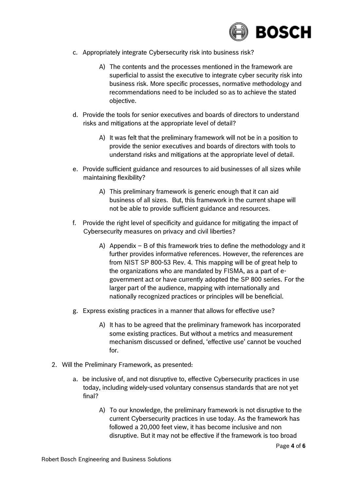

- c. Appropriately integrate Cybersecurity risk into business risk?
	- A) The contents and the processes mentioned in the framework are superficial to assist the executive to integrate cyber security risk into business risk. More specific processes, normative methodology and recommendations need to be included so as to achieve the stated objective.
- d. Provide the tools for senior executives and boards of directors to understand risks and mitigations at the appropriate level of detail?
	- A) It was felt that the preliminary framework will not be in a position to provide the senior executives and boards of directors with tools to understand risks and mitigations at the appropriate level of detail.
- e. Provide sufficient guidance and resources to aid businesses of all sizes while maintaining flexibility?
	- A) This preliminary framework is generic enough that it can aid business of all sizes. But, this framework in the current shape will not be able to provide sufficient guidance and resources.
- f. Provide the right level of specificity and guidance for mitigating the impact of Cybersecurity measures on privacy and civil liberties?
	- A) Appendix  $-$  B of this framework tries to define the methodology and it further provides informative references. However, the references are from NIST SP 800-53 Rev. 4. This mapping will be of great help to the organizations who are mandated by FISMA, as a part of e- government act or have currently adopted the SP 800 series. For the larger part of the audience, mapping with internationally and nationally recognized practices or principles will be beneficial.
- g. Express existing practices in a manner that allows for effective use?
	- A) It has to be agreed that the preliminary framework has incorporated some existing practices. But without a metrics and measurement mechanism discussed or defined, 'effective use' cannot be vouched for.
- 2. Will the Preliminary Framework, as presented:
	- a. be inclusive of, and not disruptive to, effective Cybersecurity practices in use today, including widely-used voluntary consensus standards that are not yet final?
		- A) To our knowledge, the preliminary framework is not disruptive to the current Cybersecurity practices in use today. As the framework has followed a 20,000 feet view, it has become inclusive and non disruptive. But it may not be effective if the framework is too broad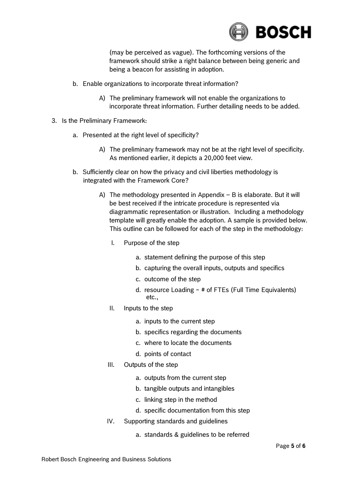

 (may be perceived as vague). The forthcoming versions of the being a beacon for assisting in adoption. framework should strike a right balance between being generic and

- b. Enable organizations to incorporate threat information?
	- A) The preliminary framework will not enable the organizations to incorporate threat information. Further detailing needs to be added.
- 3. Is the Preliminary Framework:
	- a. Presented at the right level of specificity?
		- A) The preliminary framework may not be at the right level of specificity. As mentioned earlier, it depicts a 20,000 feet view.
	- b. Sufficiently clear on how the privacy and civil liberties methodology is integrated with the Framework Core?
		- A) The methodology presented in Appendix  $-$  B is elaborate. But it will be best received if the intricate procedure is represented via diagrammatic representation or illustration. Including a methodology template will greatly enable the adoption. A sample is provided below. This outline can be followed for each of the step in the methodology:
			- I. Purpose of the step
				- a. statement defining the purpose of this step
				- b. capturing the overall inputs, outputs and specifics
				- c. outcome of the step
				- d. resource Loading ~ # of FTEs (Full Time Equivalents) etc.,
			- II. Inputs to the step
				- a. inputs to the current step
				- b. specifics regarding the documents
				- c. where to locate the documents
				- d. points of contact
			- III. Outputs of the step
				- a. outputs from the current step
				- b. tangible outputs and intangibles
				- c. linking step in the method
				- d. specific documentation from this step
			- IV. Supporting standards and guidelines
				- a. standards & guidelines to be referred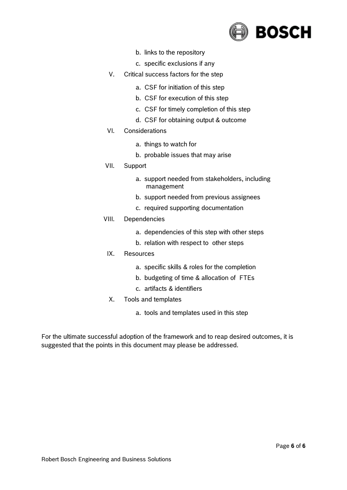

- b. links to the repository
- c. specific exclusions if any
- V. Critical success factors for the step
	- a. CSF for initiation of this step
	- b. CSF for execution of this step
	- c. CSF for timely completion of this step
	- d. CSF for obtaining output & outcome
- VI. Considerations
	- a. things to watch for
	- b. probable issues that may arise
- VII. Support
	- a. support needed from stakeholders, including management
	- b. support needed from previous assignees
	- c. required supporting documentation
- VIII. Dependencies
	- a. dependencies of this step with other steps
	- b. relation with respect to other steps
	- IX. Resources
		- a. specific skills & roles for the completion
		- b. budgeting of time & allocation of FTEs
		- c. artifacts & identifiers
	- X. Tools and templates
		- a. tools and templates used in this step

 For the ultimate successful adoption of the framework and to reap desired outcomes, it is suggested that the points in this document may please be addressed.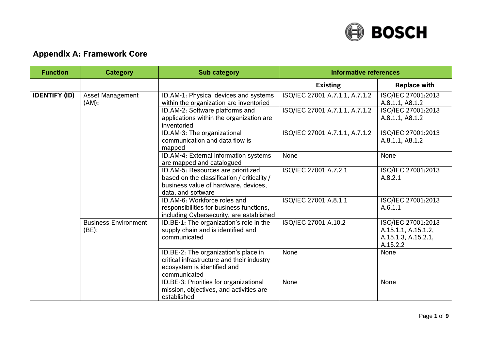

### **Appendix A: Framework Core**

| <b>Function</b>      | <b>Category</b>                      | <b>Sub category</b>                                                                                                                                             | <b>Informative references</b>                                    |                                                                                |
|----------------------|--------------------------------------|-----------------------------------------------------------------------------------------------------------------------------------------------------------------|------------------------------------------------------------------|--------------------------------------------------------------------------------|
|                      |                                      |                                                                                                                                                                 | <b>Existing</b>                                                  | <b>Replace with</b>                                                            |
| <b>IDENTIFY (ID)</b> | <b>Asset Management</b><br>(AM):     | ID.AM-1: Physical devices and systems<br>within the organization are inventoried<br>ID.AM-2: Software platforms and<br>applications within the organization are | ISO/IEC 27001 A.7.1.1, A.7.1.2<br>ISO/IEC 27001 A.7.1.1, A.7.1.2 | ISO/IEC 27001:2013<br>A.8.1.1, A8.1.2<br>ISO/IEC 27001:2013<br>A.8.1.1, A8.1.2 |
|                      |                                      | inventoried<br>ID.AM-3: The organizational<br>communication and data flow is<br>mapped                                                                          | ISO/IEC 27001 A.7.1.1, A.7.1.2                                   | ISO/IEC 27001:2013<br>A.8.1.1, A8.1.2                                          |
|                      |                                      | ID.AM-4: External information systems<br>are mapped and catalogued                                                                                              | None                                                             | None                                                                           |
|                      |                                      | ID.AM-5: Resources are prioritized<br>based on the classification / criticality /<br>business value of hardware, devices,<br>data, and software                 | ISO/IEC 27001 A.7.2.1                                            | ISO/IEC 27001:2013<br>A.8.2.1                                                  |
|                      |                                      | ID.AM-6: Workforce roles and<br>responsibilities for business functions,<br>including Cybersecurity, are established                                            | ISO/IEC 27001 A.8.1.1                                            | ISO/IEC 27001:2013<br>A.6.1.1                                                  |
|                      | <b>Business Environment</b><br>(BE): | ID.BE-1: The organization's role in the<br>supply chain and is identified and<br>communicated                                                                   | ISO/IEC 27001 A.10.2                                             | ISO/IEC 27001:2013<br>A.15.1.1, A.15.1.2,<br>A.15.1.3, A.15.2.1,<br>A.15.2.2   |
|                      |                                      | ID.BE-2: The organization's place in<br>critical infrastructure and their industry<br>ecosystem is identified and<br>communicated                               | None                                                             | None                                                                           |
|                      |                                      | ID.BE-3: Priorities for organizational<br>mission, objectives, and activities are<br>established                                                                | None                                                             | None                                                                           |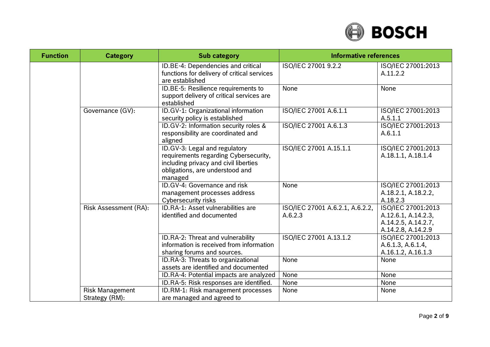

| <b>Function</b> | <b>Category</b>        | <b>Sub category</b>                                                                                                                                           | <b>Informative references</b>              |                                                                                        |
|-----------------|------------------------|---------------------------------------------------------------------------------------------------------------------------------------------------------------|--------------------------------------------|----------------------------------------------------------------------------------------|
|                 |                        | ID.BE-4: Dependencies and critical<br>functions for delivery of critical services<br>are established                                                          | ISO/IEC 27001 9.2.2                        | ISO/IEC 27001:2013<br>A.11.2.2                                                         |
|                 |                        | ID.BE-5: Resilience requirements to<br>support delivery of critical services are<br>established                                                               | None                                       | None                                                                                   |
|                 | Governance (GV):       | ID.GV-1: Organizational information<br>security policy is established                                                                                         | ISO/IEC 27001 A.6.1.1                      | ISO/IEC 27001:2013<br>A.5.1.1                                                          |
|                 |                        | ID.GV-2: Information security roles &<br>responsibility are coordinated and<br>aligned                                                                        | ISO/IEC 27001 A.6.1.3                      | ISO/IEC 27001:2013<br>A.6.1.1                                                          |
|                 |                        | ID.GV-3: Legal and regulatory<br>requirements regarding Cybersecurity,<br>including privacy and civil liberties<br>obligations, are understood and<br>managed | ISO/IEC 27001 A.15.1.1                     | ISO/IEC 27001:2013<br>A.18.1.1, A.18.1.4                                               |
|                 |                        | ID.GV-4: Governance and risk<br>management processes address<br><b>Cybersecurity risks</b>                                                                    | None                                       | ISO/IEC 27001:2013<br>A.18.2.1, A.18.2.2,<br>A.18.2.3                                  |
|                 | Risk Assessment (RA):  | ID.RA-1: Asset vulnerabilities are<br>identified and documented                                                                                               | ISO/IEC 27001 A.6.2.1, A.6.2.2,<br>A.6.2.3 | ISO/IEC 27001:2013<br>A.12.6.1, A.14.2.3,<br>A.14.2.5, A.14.2.7,<br>A.14.2.8, A.14.2.9 |
|                 |                        | ID.RA-2: Threat and vulnerability<br>information is received from information<br>sharing forums and sources.                                                  | ISO/IEC 27001 A.13.1.2                     | ISO/IEC 27001:2013<br>A.6.1.3, A.6.1.4,<br>A.16.1.2, A.16.1.3                          |
|                 |                        | ID.RA-3: Threats to organizational<br>assets are identified and documented                                                                                    | None                                       | None                                                                                   |
|                 |                        | ID.RA-4: Potential impacts are analyzed                                                                                                                       | None                                       | None                                                                                   |
|                 |                        | ID.RA-5: Risk responses are identified.                                                                                                                       | None                                       | None                                                                                   |
|                 | <b>Risk Management</b> | ID.RM-1: Risk management processes                                                                                                                            | None                                       | None                                                                                   |
|                 | Strategy (RM):         | are managed and agreed to                                                                                                                                     |                                            |                                                                                        |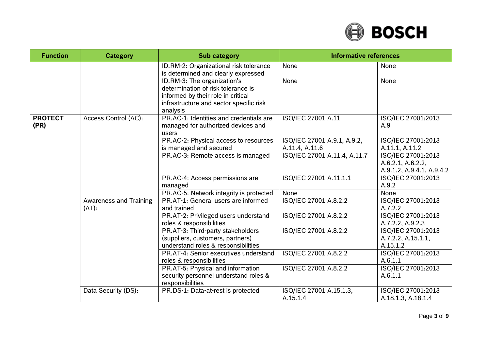

| <b>Function</b>        | <b>Category</b>                        | <b>Sub category</b>                                                                                                                                            | <b>Informative references</b>                                        |                                                      |
|------------------------|----------------------------------------|----------------------------------------------------------------------------------------------------------------------------------------------------------------|----------------------------------------------------------------------|------------------------------------------------------|
|                        |                                        | ID.RM-2: Organizational risk tolerance<br>is determined and clearly expressed                                                                                  | None                                                                 | None                                                 |
|                        |                                        | ID.RM-3: The organization's<br>determination of risk tolerance is<br>informed by their role in critical<br>infrastructure and sector specific risk<br>analysis | None                                                                 | None                                                 |
| <b>PROTECT</b><br>(PR) | Access Control (AC):                   | PR.AC-1: Identities and credentials are<br>managed for authorized devices and<br>users                                                                         | ISO/IEC 27001 A.11                                                   | ISO/IEC 27001:2013<br>A.9                            |
|                        |                                        | PR.AC-2: Physical access to resources<br>is managed and secured                                                                                                | ISO/IEC 27001 A.9.1, A.9.2,<br>A.11.4, A.11.6                        | ISO/IEC 27001:2013<br>A.11.1, A.11.2                 |
|                        |                                        | PR.AC-3: Remote access is managed<br>ISO/IEC 27001 A.11.4, A.11.7<br>ISO/IEC 27001 A.11.1.1<br>PR.AC-4: Access permissions are<br>managed                      | ISO/IEC 27001:2013<br>A.6.2.1, A.6.2.2,<br>A.9.1.2, A.9.4.1, A.9.4.2 |                                                      |
|                        |                                        |                                                                                                                                                                |                                                                      | ISO/IEC 27001:2013<br>A.9.2                          |
|                        |                                        | PR.AC-5: Network integrity is protected                                                                                                                        | None                                                                 | None                                                 |
|                        | <b>Awareness and Training</b><br>(AT): | PR.AT-1: General users are informed<br>and trained                                                                                                             | ISO/IEC 27001 A.8.2.2                                                | ISO/IEC 27001:2013<br>A.7.2.2                        |
|                        |                                        | PR.AT-2: Privileged users understand<br>roles & responsibilities                                                                                               | ISO/IEC 27001 A.8.2.2                                                | ISO/IEC 27001:2013<br>A.7.2.2, A.9.2.3               |
|                        |                                        | PR.AT-3: Third-party stakeholders<br>(suppliers, customers, partners)<br>understand roles & responsibilities                                                   | ISO/IEC 27001 A.8.2.2                                                | ISO/IEC 27001:2013<br>A.7.2.2, A.15.1.1,<br>A.15.1.2 |
|                        |                                        | PR.AT-4: Senior executives understand<br>roles & responsibilities                                                                                              | ISO/IEC 27001 A.8.2.2                                                | ISO/IEC 27001:2013<br>A.6.1.1                        |
|                        |                                        | PR.AT-5: Physical and information<br>security personnel understand roles &<br>responsibilities                                                                 | ISO/IEC 27001 A.8.2.2                                                | ISO/IEC 27001:2013<br>A.6.1.1                        |
|                        | Data Security (DS):                    | PR.DS-1: Data-at-rest is protected                                                                                                                             | ISO/IEC 27001 A.15.1.3,<br>A.15.1.4                                  | ISO/IEC 27001:2013<br>A.18.1.3, A.18.1.4             |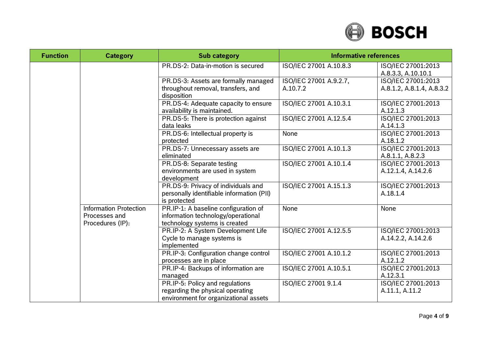

| <b>Function</b> | <b>Category</b>                                                    | <b>Sub category</b>                                                                                          | <b>Informative references</b>      |                                                 |
|-----------------|--------------------------------------------------------------------|--------------------------------------------------------------------------------------------------------------|------------------------------------|-------------------------------------------------|
|                 |                                                                    | PR.DS-2: Data-in-motion is secured                                                                           | ISO/IEC 27001 A.10.8.3             | ISO/IEC 27001:2013<br>A.8.3.3, A.10.10.1        |
|                 |                                                                    | PR.DS-3: Assets are formally managed<br>throughout removal, transfers, and<br>disposition                    | ISO/IEC 27001 A.9.2.7,<br>A.10.7.2 | ISO/IEC 27001:2013<br>A.8.1.2, A.8.1.4, A.8.3.2 |
|                 |                                                                    | PR.DS-4: Adequate capacity to ensure<br>availability is maintained.                                          | ISO/IEC 27001 A.10.3.1             | ISO/IEC 27001:2013<br>A.12.1.3                  |
|                 |                                                                    | PR.DS-5: There is protection against<br>data leaks                                                           | ISO/IEC 27001 A.12.5.4             | ISO/IEC 27001:2013<br>A.14.1.3                  |
|                 |                                                                    | PR.DS-6: Intellectual property is<br>protected                                                               | None                               | ISO/IEC 27001:2013<br>A.18.1.2                  |
|                 |                                                                    | PR.DS-7: Unnecessary assets are<br>eliminated                                                                | ISO/IEC 27001 A.10.1.3             | ISO/IEC 27001:2013<br>A.8.1.1, A.8.2.3          |
|                 |                                                                    | PR.DS-8: Separate testing<br>environments are used in system<br>development                                  | ISO/IEC 27001 A.10.1.4             | ISO/IEC 27001:2013<br>A.12.1.4, A.14.2.6        |
|                 |                                                                    | PR.DS-9: Privacy of individuals and<br>personally identifiable information (PII)<br>is protected             | ISO/IEC 27001 A.15.1.3             | ISO/IEC 27001:2013<br>A.18.1.4                  |
|                 | <b>Information Protection</b><br>Processes and<br>Procedures (IP): | PR.IP-1: A baseline configuration of<br>information technology/operational<br>technology systems is created  | None                               | None                                            |
|                 |                                                                    | PR.IP-2: A System Development Life<br>Cycle to manage systems is<br>implemented                              | ISO/IEC 27001 A.12.5.5             | ISO/IEC 27001:2013<br>A.14.2.2, A.14.2.6        |
|                 |                                                                    | PR.IP-3: Configuration change control<br>processes are in place                                              | ISO/IEC 27001 A.10.1.2             | ISO/IEC 27001:2013<br>A.12.1.2                  |
|                 |                                                                    | PR.IP-4: Backups of information are<br>managed                                                               | ISO/IEC 27001 A.10.5.1             | ISO/IEC 27001:2013<br>A.12.3.1                  |
|                 |                                                                    | PR.IP-5: Policy and regulations<br>regarding the physical operating<br>environment for organizational assets | ISO/IEC 27001 9.1.4                | ISO/IEC 27001:2013<br>A.11.1, A.11.2            |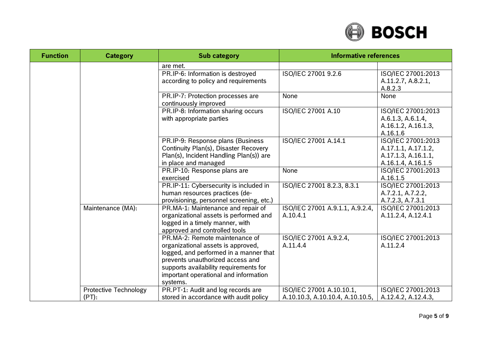

| <b>Function</b> | <b>Category</b>                       | <b>Sub category</b>                                                                                                                                                                                                                               | <b>Informative references</b>                                |                                                                                        |
|-----------------|---------------------------------------|---------------------------------------------------------------------------------------------------------------------------------------------------------------------------------------------------------------------------------------------------|--------------------------------------------------------------|----------------------------------------------------------------------------------------|
|                 |                                       | are met.                                                                                                                                                                                                                                          |                                                              |                                                                                        |
|                 |                                       | PR.IP-6: Information is destroyed<br>according to policy and requirements                                                                                                                                                                         | ISO/IEC 27001 9.2.6                                          | ISO/IEC 27001:2013<br>A.11.2.7, A.8.2.1,<br>A.8.2.3                                    |
|                 |                                       | PR.IP-7: Protection processes are<br>continuously improved                                                                                                                                                                                        | None                                                         | None                                                                                   |
|                 |                                       | PR.IP-8: Information sharing occurs<br>with appropriate parties                                                                                                                                                                                   | ISO/IEC 27001 A.10                                           | ISO/IEC 27001:2013<br>A.6.1.3, A.6.1.4,<br>A.16.1.2, A.16.1.3,<br>A.16.1.6             |
|                 |                                       | PR.IP-9: Response plans (Business<br>Continuity Plan(s), Disaster Recovery<br>Plan(s), Incident Handling Plan(s)) are<br>in place and managed                                                                                                     | ISO/IEC 27001 A.14.1                                         | ISO/IEC 27001:2013<br>A.17.1.1, A.17.1.2,<br>A.17.1.3, A.16.1.1,<br>A.16.1.4, A.16.1.5 |
|                 |                                       | PR.IP-10: Response plans are<br>exercised                                                                                                                                                                                                         | None                                                         | ISO/IEC 27001:2013<br>A.16.1.5                                                         |
|                 |                                       | PR.IP-11: Cybersecurity is included in<br>human resources practices (de-<br>provisioning, personnel screening, etc.)                                                                                                                              | ISO/IEC 27001 8.2.3, 8.3.1                                   | ISO/IEC 27001:2013<br>A.7.2.1, A.7.2.2,<br>A.7.2.3, A.7.3.1                            |
|                 | Maintenance (MA):                     | PR.MA-1: Maintenance and repair of<br>organizational assets is performed and<br>logged in a timely manner, with<br>approved and controlled tools                                                                                                  | ISO/IEC 27001 A.9.1.1, A.9.2.4,<br>A.10.4.1                  | ISO/IEC 27001:2013<br>A.11.2.4, A.12.4.1                                               |
|                 |                                       | PR.MA-2: Remote maintenance of<br>organizational assets is approved,<br>logged, and performed in a manner that<br>prevents unauthorized access and<br>supports availability requirements for<br>important operational and information<br>systems. | ISO/IEC 27001 A.9.2.4,<br>A.11.4.4                           | ISO/IEC 27001:2013<br>A.11.2.4                                                         |
|                 | <b>Protective Technology</b><br>(PT): | PR.PT-1: Audit and log records are<br>stored in accordance with audit policy                                                                                                                                                                      | ISO/IEC 27001 A.10.10.1,<br>A.10.10.3, A.10.10.4, A.10.10.5, | ISO/IEC 27001:2013<br>A.12.4.2, A.12.4.3,                                              |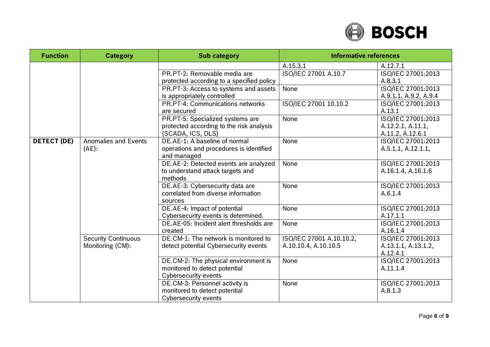

| <b>Function</b>    | <b>Category</b>             | <b>Sub category</b>                       | <b>Informative references</b> |                       |
|--------------------|-----------------------------|-------------------------------------------|-------------------------------|-----------------------|
|                    |                             |                                           | A.15.3.1                      | A.12.7.1              |
|                    |                             | PR.PT-2: Removable media are              | ISO/IEC 27001 A.10.7          | ISO/IEC 27001:2013    |
|                    |                             | protected according to a specified policy |                               | A.8.3.1               |
|                    |                             | PR.PT-3: Access to systems and assets     | None                          | ISO/IEC 27001:2013    |
|                    |                             | is appropriately controlled               |                               | A.9.1.1, A.9.2, A.9.4 |
|                    |                             | PR.PT-4: Communications networks          | ISO/IEC 27001 10.10.2         | ISO/IEC 27001:2013    |
|                    |                             | are secured                               |                               | A.13.1                |
|                    |                             | PR.PT-5: Specialized systems are          | None                          | ISO/IEC 27001:2013    |
|                    |                             | protected according to the risk analysis  |                               | A.12.2.1, A.11.1,     |
|                    |                             | (SCADA, ICS, DLS)                         |                               | A.11.2, A.12.6.1      |
| <b>DETECT (DE)</b> | <b>Anomalies and Events</b> | DE.AE-1: A baseline of normal             | None                          | ISO/IEC 27001:2013    |
|                    | (AE):                       | operations and procedures is identified   |                               | A.5.1.1, A.12.1.1,    |
|                    |                             | and managed                               |                               |                       |
|                    |                             | DE.AE-2: Detected events are analyzed     | None                          | ISO/IEC 27001:2013    |
|                    |                             | to understand attack targets and          |                               | A.16.1.4, A.16.1.6    |
|                    |                             | methods                                   |                               |                       |
|                    |                             | DE.AE-3: Cybersecurity data are           | <b>None</b>                   | ISO/IEC 27001:2013    |
|                    |                             | correlated from diverse information       |                               | A.6.1.4               |
|                    |                             | sources                                   |                               |                       |
|                    |                             | DE.AE-4: Impact of potential              | None                          | ISO/IEC 27001:2013    |
|                    |                             | Cybersecurity events is determined.       |                               | A.17.1.1              |
|                    |                             | DE.AE-05: Incident alert thresholds are   | None                          | ISO/IEC 27001:2013    |
|                    |                             | created                                   |                               | A.16.1.4              |
|                    | <b>Security Continuous</b>  | DE.CM-1: The network is monitored to      | ISO/IEC 27001 A.10.10.2,      | ISO/IEC 27001:2013    |
|                    | Monitoring (CM):            | detect potential Cybersecurity events     | A.10.10.4, A.10.10.5          | A.13.1.1, A.13.1.2,   |
|                    |                             |                                           |                               | A.12.4.1              |
|                    |                             | DE.CM-2: The physical environment is      | None                          | ISO/IEC 27001:2013    |
|                    |                             | monitored to detect potential             |                               | A.11.1.4              |
|                    |                             | <b>Cybersecurity events</b>               |                               |                       |
|                    |                             | DE.CM-3: Personnel activity is            | None                          | ISO/IEC 27001:2013    |
|                    |                             | monitored to detect potential             |                               | A.8.1.3               |
|                    |                             | <b>Cybersecurity events</b>               |                               |                       |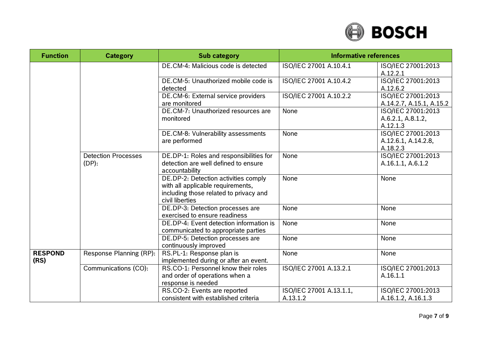

| <b>Function</b>        | <b>Category</b>                        | <b>Sub category</b>                                                                                                                    | <b>Informative references</b>       |                                                       |
|------------------------|----------------------------------------|----------------------------------------------------------------------------------------------------------------------------------------|-------------------------------------|-------------------------------------------------------|
|                        |                                        | DE.CM-4: Malicious code is detected                                                                                                    | ISO/IEC 27001 A.10.4.1              | ISO/IEC 27001:2013<br>A.12.2.1                        |
|                        |                                        | DE.CM-5: Unauthorized mobile code is<br>detected                                                                                       | ISO/IEC 27001 A.10.4.2              | ISO/IEC 27001:2013<br>A.12.6.2                        |
|                        |                                        | DE.CM-6: External service providers<br>are monitored                                                                                   | ISO/IEC 27001 A.10.2.2              | ISO/IEC 27001:2013<br>A.14.2.7, A.15.1, A.15.2        |
|                        |                                        | DE.CM-7: Unauthorized resources are<br>monitored                                                                                       | None                                | ISO/IEC 27001:2013<br>A.6.2.1, A.8.1.2,<br>A.12.1.3   |
|                        |                                        | DE.CM-8: Vulnerability assessments<br>are performed                                                                                    | None                                | ISO/IEC 27001:2013<br>A.12.6.1, A.14.2.8,<br>A.18.2.3 |
|                        | <b>Detection Processes</b><br>$(DP)$ : | DE.DP-1: Roles and responsibilities for<br>detection are well defined to ensure<br>accountability                                      | None                                | ISO/IEC 27001:2013<br>A.16.1.1, A.6.1.2               |
|                        |                                        | DE.DP-2: Detection activities comply<br>with all applicable requirements,<br>including those related to privacy and<br>civil liberties | None                                | None                                                  |
|                        |                                        | DE.DP-3: Detection processes are<br>exercised to ensure readiness                                                                      | None                                | None                                                  |
|                        |                                        | DE.DP-4: Event detection information is<br>communicated to appropriate parties                                                         | None                                | None                                                  |
|                        |                                        | DE.DP-5: Detection processes are<br>continuously improved                                                                              | None                                | None                                                  |
| <b>RESPOND</b><br>(RS) | Response Planning (RP):                | RS.PL-1: Response plan is<br>implemented during or after an event.                                                                     | None                                | None                                                  |
|                        | Communications (CO):                   | RS.CO-1: Personnel know their roles<br>and order of operations when a<br>response is needed                                            | ISO/IEC 27001 A.13.2.1              | ISO/IEC 27001:2013<br>A.16.1.1                        |
|                        |                                        | RS.CO-2: Events are reported<br>consistent with established criteria                                                                   | ISO/IEC 27001 A.13.1.1,<br>A.13.1.2 | ISO/IEC 27001:2013<br>A.16.1.2, A.16.1.3              |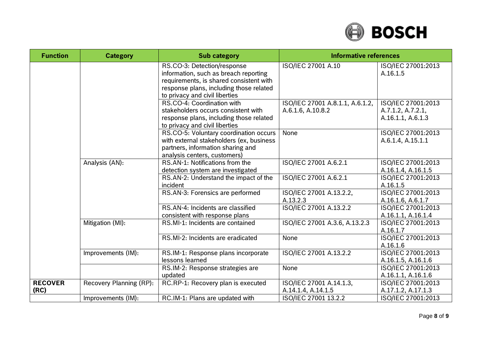

| <b>Function</b>        | <b>Category</b>         | <b>Sub category</b>                                                                                                                                                                          | <b>Informative references</b>                        |                                                              |
|------------------------|-------------------------|----------------------------------------------------------------------------------------------------------------------------------------------------------------------------------------------|------------------------------------------------------|--------------------------------------------------------------|
|                        |                         | RS.CO-3: Detection/response<br>information, such as breach reporting<br>requirements, is shared consistent with<br>response plans, including those related<br>to privacy and civil liberties | ISO/IEC 27001 A.10                                   | ISO/IEC 27001:2013<br>A.16.1.5                               |
|                        |                         | RS.CO-4: Coordination with<br>stakeholders occurs consistent with<br>response plans, including those related<br>to privacy and civil liberties                                               | ISO/IEC 27001 A.8.1.1, A.6.1.2,<br>A.6.1.6, A.10.8.2 | ISO/IEC 27001:2013<br>A.7.1.2, A.7.2.1,<br>A.16.1.1, A.6.1.3 |
|                        |                         | RS.CO-5: Voluntary coordination occurs<br>with external stakeholders (ex, business<br>partners, information sharing and<br>analysis centers, customers)                                      | None                                                 | ISO/IEC 27001:2013<br>A.6.1.4, A.15.1.1                      |
|                        | Analysis (AN):          | RS.AN-1: Notifications from the<br>detection system are investigated                                                                                                                         | ISO/IEC 27001 A.6.2.1                                | ISO/IEC 27001:2013<br>A.16.1.4, A.16.1.5                     |
|                        |                         | RS.AN-2: Understand the impact of the<br>incident                                                                                                                                            | ISO/IEC 27001 A.6.2.1                                | ISO/IEC 27001:2013<br>A.16.1.5                               |
|                        |                         | RS.AN-3: Forensics are performed                                                                                                                                                             | ISO/IEC 27001 A.13.2.2,<br>A.13.2.3                  | ISO/IEC 27001:2013<br>A.16.1.6, A.6.1.7                      |
|                        |                         | RS.AN-4: Incidents are classified<br>consistent with response plans                                                                                                                          | ISO/IEC 27001 A.13.2.2                               | ISO/IEC 27001:2013<br>A.16.1.1, A.16.1.4                     |
|                        | Mitigation (MI):        | RS.MI-1: Incidents are contained                                                                                                                                                             | ISO/IEC 27001 A.3.6, A.13.2.3                        | ISO/IEC 27001:2013<br>A.16.1.7                               |
|                        |                         | RS.MI-2: Incidents are eradicated                                                                                                                                                            | None                                                 | ISO/IEC 27001:2013<br>A.16.1.6                               |
|                        | Improvements (IM):      | RS.IM-1: Response plans incorporate<br>lessons learned                                                                                                                                       | ISO/IEC 27001 A.13.2.2                               | ISO/IEC 27001:2013<br>A.16.1.5, A.16.1.6                     |
|                        |                         | RS.IM-2: Response strategies are<br>updated                                                                                                                                                  | None                                                 | ISO/IEC 27001:2013<br>A.16.1.1, A.16.1.6                     |
| <b>RECOVER</b><br>(RC) | Recovery Planning (RP): | RC.RP-1: Recovery plan is executed                                                                                                                                                           | ISO/IEC 27001 A.14.1.3,<br>A.14.1.4, A.14.1.5        | ISO/IEC 27001:2013<br>A.17.1.2, A.17.1.3                     |
|                        | Improvements (IM):      | RC.IM-1: Plans are updated with                                                                                                                                                              | ISO/IEC 27001 13.2.2                                 | ISO/IEC 27001:2013                                           |